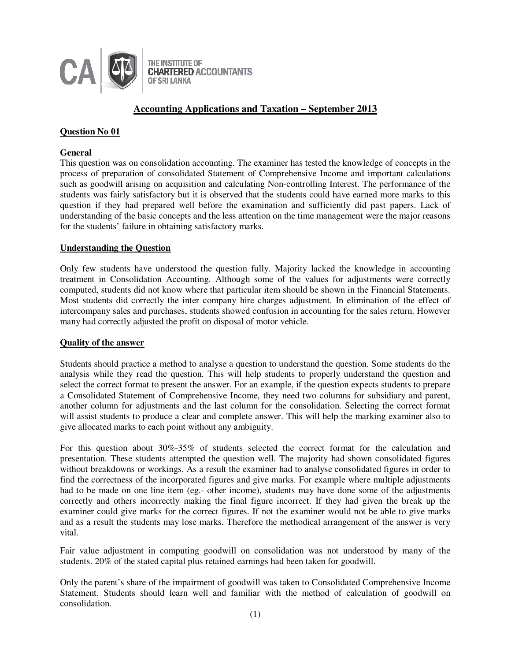

# **Accounting Applications and Taxation – September 2013**

# **Question No 01**

### **General**

This question was on consolidation accounting. The examiner has tested the knowledge of concepts in the process of preparation of consolidated Statement of Comprehensive Income and important calculations such as goodwill arising on acquisition and calculating Non-controlling Interest. The performance of the students was fairly satisfactory but it is observed that the students could have earned more marks to this question if they had prepared well before the examination and sufficiently did past papers. Lack of understanding of the basic concepts and the less attention on the time management were the major reasons for the students' failure in obtaining satisfactory marks.

# **Understanding the Question**

Only few students have understood the question fully. Majority lacked the knowledge in accounting treatment in Consolidation Accounting. Although some of the values for adjustments were correctly computed, students did not know where that particular item should be shown in the Financial Statements. Most students did correctly the inter company hire charges adjustment. In elimination of the effect of intercompany sales and purchases, students showed confusion in accounting for the sales return. However many had correctly adjusted the profit on disposal of motor vehicle.

# **Quality of the answer**

Students should practice a method to analyse a question to understand the question. Some students do the analysis while they read the question. This will help students to properly understand the question and select the correct format to present the answer. For an example, if the question expects students to prepare a Consolidated Statement of Comprehensive Income, they need two columns for subsidiary and parent, another column for adjustments and the last column for the consolidation. Selecting the correct format will assist students to produce a clear and complete answer. This will help the marking examiner also to give allocated marks to each point without any ambiguity.

For this question about 30%-35% of students selected the correct format for the calculation and presentation. These students attempted the question well. The majority had shown consolidated figures without breakdowns or workings. As a result the examiner had to analyse consolidated figures in order to find the correctness of the incorporated figures and give marks. For example where multiple adjustments had to be made on one line item (eg.- other income), students may have done some of the adjustments correctly and others incorrectly making the final figure incorrect. If they had given the break up the examiner could give marks for the correct figures. If not the examiner would not be able to give marks and as a result the students may lose marks. Therefore the methodical arrangement of the answer is very vital.

Fair value adjustment in computing goodwill on consolidation was not understood by many of the students. 20% of the stated capital plus retained earnings had been taken for goodwill.

Only the parent's share of the impairment of goodwill was taken to Consolidated Comprehensive Income Statement. Students should learn well and familiar with the method of calculation of goodwill on consolidation.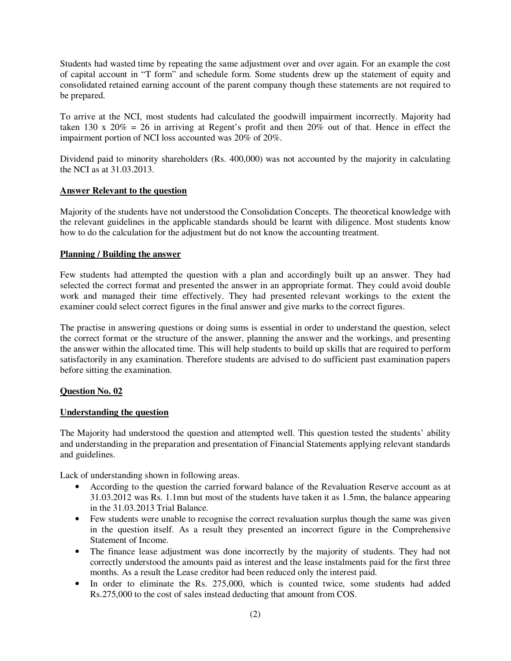Students had wasted time by repeating the same adjustment over and over again. For an example the cost of capital account in "T form" and schedule form. Some students drew up the statement of equity and consolidated retained earning account of the parent company though these statements are not required to be prepared.

To arrive at the NCI, most students had calculated the goodwill impairment incorrectly. Majority had taken 130 x  $20\% = 26$  in arriving at Regent's profit and then  $20\%$  out of that. Hence in effect the impairment portion of NCI loss accounted was 20% of 20%.

Dividend paid to minority shareholders (Rs. 400,000) was not accounted by the majority in calculating the NCI as at 31.03.2013.

# **Answer Relevant to the question**

Majority of the students have not understood the Consolidation Concepts. The theoretical knowledge with the relevant guidelines in the applicable standards should be learnt with diligence. Most students know how to do the calculation for the adjustment but do not know the accounting treatment.

# **Planning / Building the answer**

Few students had attempted the question with a plan and accordingly built up an answer. They had selected the correct format and presented the answer in an appropriate format. They could avoid double work and managed their time effectively. They had presented relevant workings to the extent the examiner could select correct figures in the final answer and give marks to the correct figures.

The practise in answering questions or doing sums is essential in order to understand the question, select the correct format or the structure of the answer, planning the answer and the workings, and presenting the answer within the allocated time. This will help students to build up skills that are required to perform satisfactorily in any examination. Therefore students are advised to do sufficient past examination papers before sitting the examination.

# **Question No. 02**

# **Understanding the question**

The Majority had understood the question and attempted well. This question tested the students' ability and understanding in the preparation and presentation of Financial Statements applying relevant standards and guidelines.

Lack of understanding shown in following areas.

- According to the question the carried forward balance of the Revaluation Reserve account as at 31.03.2012 was Rs. 1.1mn but most of the students have taken it as 1.5mn, the balance appearing in the 31.03.2013 Trial Balance.
- Few students were unable to recognise the correct revaluation surplus though the same was given in the question itself. As a result they presented an incorrect figure in the Comprehensive Statement of Income.
- The finance lease adjustment was done incorrectly by the majority of students. They had not correctly understood the amounts paid as interest and the lease instalments paid for the first three months. As a result the Lease creditor had been reduced only the interest paid.
- In order to eliminate the Rs. 275,000, which is counted twice, some students had added Rs.275,000 to the cost of sales instead deducting that amount from COS.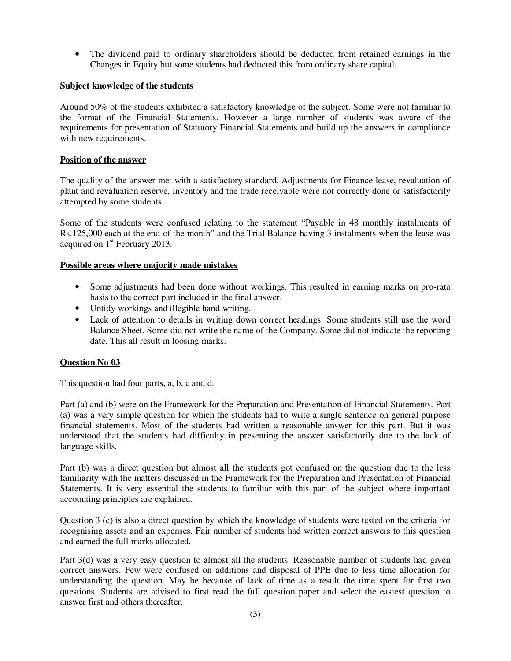• The dividend paid to ordinary shareholders should be deducted from retained earnings in the Changes in Equity but some students had deducted this from ordinary share capital.

# **Subject knowledge of the students**

Around 50% of the students exhibited a satisfactory knowledge of the subject. Some were not familiar to the format of the Financial Statements. However a large number of students was aware of the requirements for presentation of Statutory Financial Statements and build up the answers in compliance with new requirements.

### **Position of the answer**

The quality of the answer met with a satisfactory standard. Adjustments for Finance lease, revaluation of plant and revaluation reserve, inventory and the trade receivable were not correctly done or satisfactorily attempted by some students.

Some of the students were confused relating to the statement "Payable in 48 monthly instalments of Rs.125,000 each at the end of the month" and the Trial Balance having 3 instalments when the lease was acquired on  $1<sup>st</sup>$  February 2013.

### **Possible areas where majority made mistakes**

- Some adjustments had been done without workings. This resulted in earning marks on pro-rata basis to the correct part included in the final answer.
- Untidy workings and illegible hand writing.
- Lack of attention to details in writing down correct headings. Some students still use the word Balance Sheet. Some did not write the name of the Company. Some did not indicate the reporting date. This all result in loosing marks.

# **Question No 03**

This question had four parts, a, b, c and d.

Part (a) and (b) were on the Framework for the Preparation and Presentation of Financial Statements. Part (a) was a very simple question for which the students had to write a single sentence on general purpose financial statements. Most of the students had written a reasonable answer for this part. But it was understood that the students had difficulty in presenting the answer satisfactorily due to the lack of language skills.

Part (b) was a direct question but almost all the students got confused on the question due to the less familiarity with the matters discussed in the Framework for the Preparation and Presentation of Financial Statements. It is very essential the students to familiar with this part of the subject where important accounting principles are explained.

Question 3 (c) is also a direct question by which the knowledge of students were tested on the criteria for recognising assets and an expenses. Fair number of students had written correct answers to this question and earned the full marks allocated.

Part 3(d) was a very easy question to almost all the students. Reasonable number of students had given correct answers. Few were confused on additions and disposal of PPE due to less time allocation for understanding the question. May be because of lack of time as a result the time spent for first two questions. Students are advised to first read the full question paper and select the easiest question to answer first and others thereafter.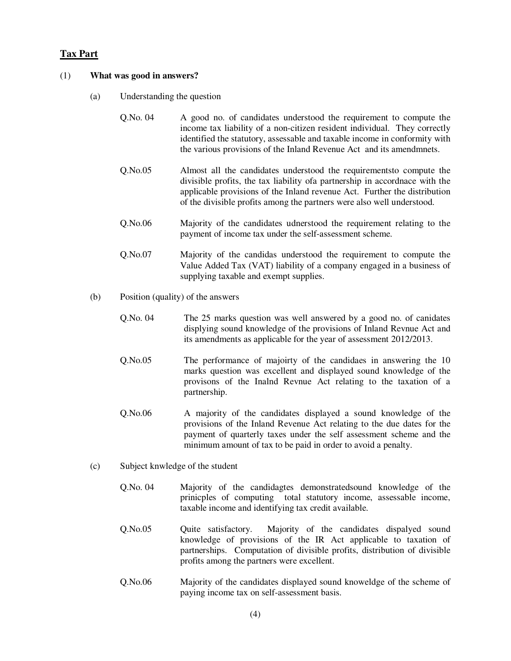# **Tax Part**

#### (1) **What was good in answers?**

- (a) Understanding the question
	- Q.No. 04 A good no. of candidates understood the requirement to compute the income tax liability of a non-citizen resident individual. They correctly identified the statutory, assessable and taxable income in conformity with the various provisions of the Inland Revenue Act and its amendmnets.
	- Q.No.05 Almost all the candidates understood the requirementsto compute the divisible profits, the tax liability ofa partnership in accordnace with the applicable provisions of the Inland revenue Act. Further the distribution of the divisible profits among the partners were also well understood.
	- Q.No.06 Majority of the candidates udnerstood the requirement relating to the payment of income tax under the self-assessment scheme.
	- Q.No.07 Majority of the candidas understood the requirement to compute the Value Added Tax (VAT) liability of a company engaged in a business of supplying taxable and exempt supplies.
- (b) Position (quality) of the answers
	- Q.No. 04 The 25 marks question was well answered by a good no. of canidates displying sound knowledge of the provisions of Inland Revnue Act and its amendments as applicable for the year of assessment 2012/2013.
	- Q.No.05 The performance of majoirty of the candidaes in answering the 10 marks question was excellent and displayed sound knowledge of the provisons of the Inalnd Revnue Act relating to the taxation of a partnership.
	- Q.No.06 A majority of the candidates displayed a sound knowledge of the provisions of the Inland Revenue Act relating to the due dates for the payment of quarterly taxes under the self assessment scheme and the minimum amount of tax to be paid in order to avoid a penalty.
- (c) Subject knwledge of the student
	- Q.No. 04 Majority of the candidagtes demonstratedsound knowledge of the prinicples of computing total statutory income, assessable income, taxable income and identifying tax credit available.
	- Q.No.05 Quite satisfactory. Majority of the candidates dispalyed sound knowledge of provisions of the IR Act applicable to taxation of partnerships. Computation of divisible profits, distribution of divisible profits among the partners were excellent.
	- Q.No.06 Majority of the candidates displayed sound knoweldge of the scheme of paying income tax on self-assessment basis.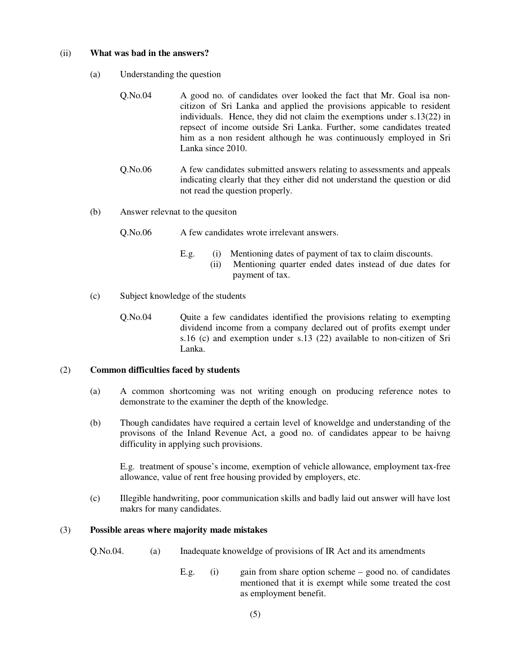#### (ii) **What was bad in the answers?**

- (a) Understanding the question
	- Q.No.04 A good no. of candidates over looked the fact that Mr. Goal isa noncitizon of Sri Lanka and applied the provisions appicable to resident individuals. Hence, they did not claim the exemptions under s.13(22) in repsect of income outside Sri Lanka. Further, some candidates treated him as a non resident although he was continuously employed in Sri Lanka since 2010.
	- Q.No.06 A few candidates submitted answers relating to assessments and appeals indicating clearly that they either did not understand the question or did not read the question properly.
- (b) Answer relevnat to the quesiton
	- Q.No.06 A few candidates wrote irrelevant answers.
		- E.g. (i) Mentioning dates of payment of tax to claim discounts.
			- (ii) Mentioning quarter ended dates instead of due dates for payment of tax.
- (c) Subject knowledge of the students
	- Q.No.04 Quite a few candidates identified the provisions relating to exempting dividend income from a company declared out of profits exempt under s.16 (c) and exemption under s.13 (22) available to non-citizen of Sri Lanka.

# (2) **Common difficulties faced by students**

- (a) A common shortcoming was not writing enough on producing reference notes to demonstrate to the examiner the depth of the knowledge.
- (b) Though candidates have required a certain level of knoweldge and understanding of the provisons of the Inland Revenue Act, a good no. of candidates appear to be haivng difficulity in applying such provisions.

E.g. treatment of spouse's income, exemption of vehicle allowance, employment tax-free allowance, value of rent free housing provided by employers, etc.

(c) Illegible handwriting, poor communication skills and badly laid out answer will have lost makrs for many candidates.

# (3) **Possible areas where majority made mistakes**

- Q.No.04. (a) Inadequate knoweldge of provisions of IR Act and its amendments
	- E.g. (i) gain from share option scheme good no. of candidates mentioned that it is exempt while some treated the cost as employment benefit.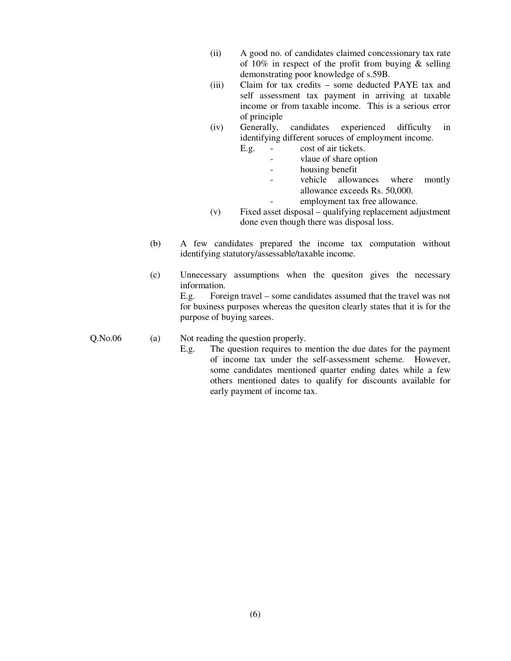- (ii) A good no. of candidates claimed concessionary tax rate of 10% in respect of the profit from buying  $\&$  selling demonstrating poor knowledge of s.59B.
- (iii) Claim for tax credits some deducted PAYE tax and self assessment tax payment in arriving at taxable income or from taxable income. This is a serious error of principle
- (iv) Generally, candidates experienced difficulty in identifying different soruces of employment income.
	- E.g. cost of air tickets.
		- vlaue of share option
		- housing benefit
		- vehicle allowances where montly allowance exceeds Rs. 50,000.
			- employment tax free allowance.
- (v) Fixed asset disposal qualifying replacement adjustment done even though there was disposal loss.
- (b) A few candidates prepared the income tax computation without identifying statutory/assessable/taxable income.
- (c) Unnecessary assumptions when the quesiton gives the necessary information.

 E.g. Foreign travel – some candidates assumed that the travel was not for business purposes whereas the quesiton clearly states that it is for the purpose of buying sarees.

# Q.No.06 (a) Not reading the question properly.

 E.g. The question requires to mention the due dates for the payment of income tax under the self-assessment scheme. However, some candidates mentioned quarter ending dates while a few others mentioned dates to qualify for discounts available for early payment of income tax.

(6)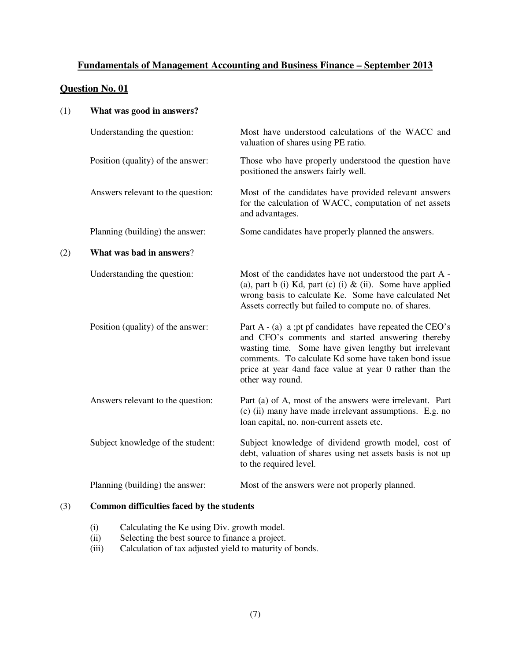# **Fundamentals of Management Accounting and Business Finance – September 2013**

# **Question No. 01**

| (1) | What was good in answers?                 |                                                                                                                                                                                                                                                                                                                |
|-----|-------------------------------------------|----------------------------------------------------------------------------------------------------------------------------------------------------------------------------------------------------------------------------------------------------------------------------------------------------------------|
|     | Understanding the question:               | Most have understood calculations of the WACC and<br>valuation of shares using PE ratio.                                                                                                                                                                                                                       |
|     | Position (quality) of the answer:         | Those who have properly understood the question have<br>positioned the answers fairly well.                                                                                                                                                                                                                    |
|     | Answers relevant to the question:         | Most of the candidates have provided relevant answers<br>for the calculation of WACC, computation of net assets<br>and advantages.                                                                                                                                                                             |
|     | Planning (building) the answer:           | Some candidates have properly planned the answers.                                                                                                                                                                                                                                                             |
| (2) | What was bad in answers?                  |                                                                                                                                                                                                                                                                                                                |
|     | Understanding the question:               | Most of the candidates have not understood the part A -<br>(a), part b (i) Kd, part (c) (i) $\&$ (ii). Some have applied<br>wrong basis to calculate Ke. Some have calculated Net<br>Assets correctly but failed to compute no. of shares.                                                                     |
|     | Position (quality) of the answer:         | Part $A - (a)$ a ;pt pf candidates have repeated the CEO's<br>and CFO's comments and started answering thereby<br>wasting time. Some have given lengthy but irrelevant<br>comments. To calculate Kd some have taken bond issue<br>price at year 4 and face value at year 0 rather than the<br>other way round. |
|     | Answers relevant to the question:         | Part (a) of A, most of the answers were irrelevant. Part<br>(c) (ii) many have made irrelevant assumptions. E.g. no<br>loan capital, no. non-current assets etc.                                                                                                                                               |
|     | Subject knowledge of the student:         | Subject knowledge of dividend growth model, cost of<br>debt, valuation of shares using net assets basis is not up<br>to the required level.                                                                                                                                                                    |
|     | Planning (building) the answer:           | Most of the answers were not properly planned.                                                                                                                                                                                                                                                                 |
| (3) | Common difficulties faced by the students |                                                                                                                                                                                                                                                                                                                |

# (i) Calculating the Ke using Div. growth model.

- (ii) Selecting the best source to finance a project.<br>
(iii) Calculation of tax adjusted yield to maturity of
- Calculation of tax adjusted yield to maturity of bonds.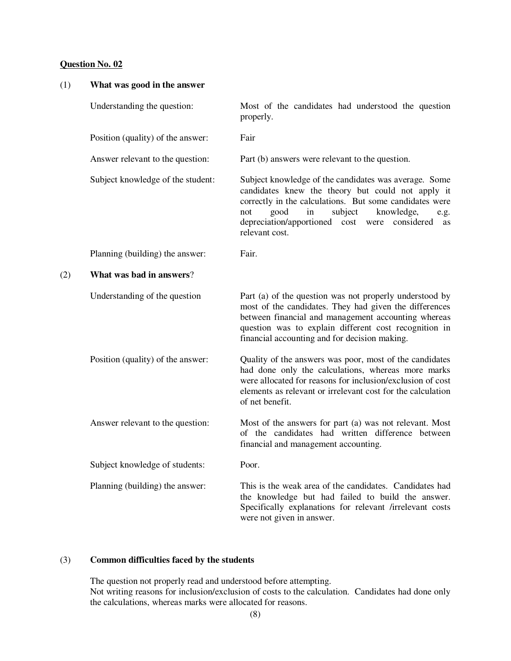| (1) | What was good in the answer       |                                                                                                                                                                                                                                                                                                      |
|-----|-----------------------------------|------------------------------------------------------------------------------------------------------------------------------------------------------------------------------------------------------------------------------------------------------------------------------------------------------|
|     | Understanding the question:       | Most of the candidates had understood the question<br>properly.                                                                                                                                                                                                                                      |
|     | Position (quality) of the answer: | Fair                                                                                                                                                                                                                                                                                                 |
|     | Answer relevant to the question:  | Part (b) answers were relevant to the question.                                                                                                                                                                                                                                                      |
|     | Subject knowledge of the student: | Subject knowledge of the candidates was average. Some<br>candidates knew the theory but could not apply it<br>correctly in the calculations. But some candidates were<br>subject<br>knowledge,<br>good<br>in<br>not<br>e.g.<br>depreciation/apportioned cost were considered<br>as<br>relevant cost. |
|     | Planning (building) the answer:   | Fair.                                                                                                                                                                                                                                                                                                |
| (2) | What was bad in answers?          |                                                                                                                                                                                                                                                                                                      |
|     | Understanding of the question     | Part (a) of the question was not properly understood by<br>most of the candidates. They had given the differences<br>between financial and management accounting whereas<br>question was to explain different cost recognition in<br>financial accounting and for decision making.                   |
|     | Position (quality) of the answer: | Quality of the answers was poor, most of the candidates<br>had done only the calculations, whereas more marks<br>were allocated for reasons for inclusion/exclusion of cost<br>elements as relevant or irrelevant cost for the calculation<br>of net benefit.                                        |
|     | Answer relevant to the question:  | Most of the answers for part (a) was not relevant. Most<br>of the candidates had written difference between<br>financial and management accounting.                                                                                                                                                  |
|     | Subject knowledge of students:    | Poor.                                                                                                                                                                                                                                                                                                |
|     | Planning (building) the answer:   | This is the weak area of the candidates. Candidates had<br>the knowledge but had failed to build the answer.<br>Specifically explanations for relevant /irrelevant costs<br>were not given in answer.                                                                                                |

# (3) **Common difficulties faced by the students**

 The question not properly read and understood before attempting. Not writing reasons for inclusion/exclusion of costs to the calculation. Candidates had done only the calculations, whereas marks were allocated for reasons.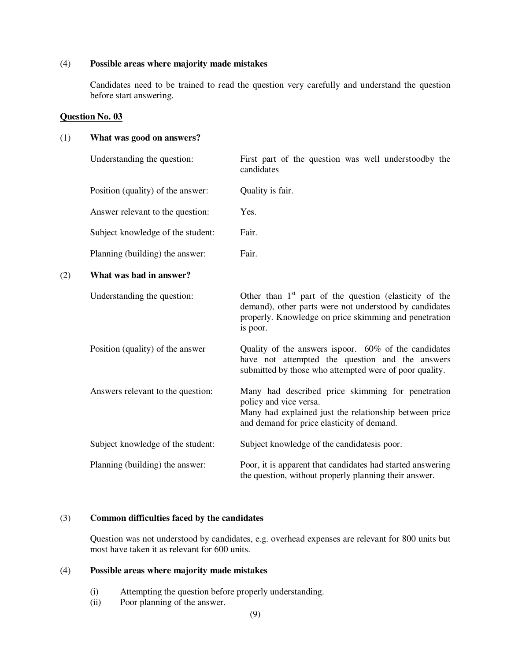## (4) **Possible areas where majority made mistakes**

Candidates need to be trained to read the question very carefully and understand the question before start answering.

### **Question No. 03**

# (1) **What was good on answers?**

|     | Understanding the question:       | First part of the question was well understoodby the<br>candidates                                                                                                                      |
|-----|-----------------------------------|-----------------------------------------------------------------------------------------------------------------------------------------------------------------------------------------|
|     | Position (quality) of the answer: | Quality is fair.                                                                                                                                                                        |
|     | Answer relevant to the question:  | Yes.                                                                                                                                                                                    |
|     | Subject knowledge of the student: | Fair.                                                                                                                                                                                   |
|     | Planning (building) the answer:   | Fair.                                                                                                                                                                                   |
| (2) | What was bad in answer?           |                                                                                                                                                                                         |
|     | Understanding the question:       | Other than $1st$ part of the question (elasticity of the<br>demand), other parts were not understood by candidates<br>properly. Knowledge on price skimming and penetration<br>is poor. |
|     | Position (quality) of the answer  | Quality of the answers ispoor. 60% of the candidates<br>have not attempted the question and the answers<br>submitted by those who attempted were of poor quality.                       |
|     | Answers relevant to the question: | Many had described price skimming for penetration<br>policy and vice versa.<br>Many had explained just the relationship between price<br>and demand for price elasticity of demand.     |
|     | Subject knowledge of the student: | Subject knowledge of the candidatesis poor.                                                                                                                                             |
|     | Planning (building) the answer:   | Poor, it is apparent that candidates had started answering<br>the question, without properly planning their answer.                                                                     |

### (3) **Common difficulties faced by the candidates**

Question was not understood by candidates, e.g. overhead expenses are relevant for 800 units but most have taken it as relevant for 600 units.

# (4) **Possible areas where majority made mistakes**

- (i) Attempting the question before properly understanding.
- (ii) Poor planning of the answer.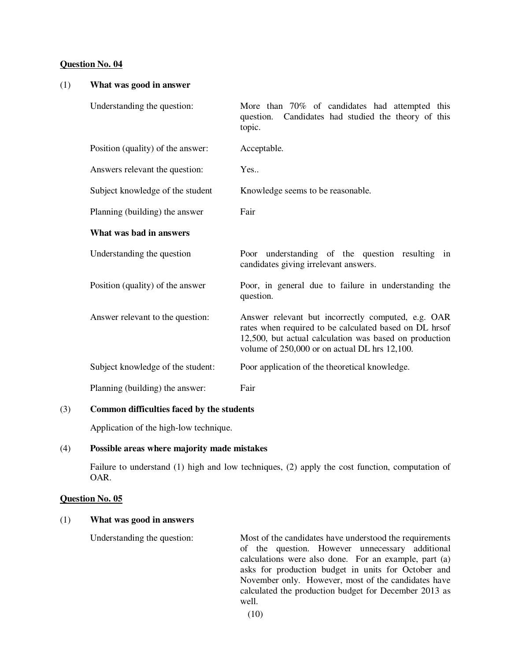# (1) **What was good in answer**  Understanding the question: More than 70% of candidates had attempted this question. Candidates had studied the theory of this topic. Position (quality) of the answer: Acceptable. Answers relevant the question: Yes.. Subject knowledge of the student Knowledge seems to be reasonable. Planning (building) the answer Fair **What was bad in answers**  Understanding the question **Poor** understanding of the question resulting in candidates giving irrelevant answers. Position (quality) of the answer Poor, in general due to failure in understanding the question. Answer relevant to the question: Answer relevant but incorrectly computed, e.g. OAR rates when required to be calculated based on DL hrsof 12,500, but actual calculation was based on production volume of 250,000 or on actual DL hrs 12,100. Subject knowledge of the student: Poor application of the theoretical knowledge. Planning (building) the answer: Fair

# (3) **Common difficulties faced by the students**

Application of the high-low technique.

#### (4) **Possible areas where majority made mistakes**

 Failure to understand (1) high and low techniques, (2) apply the cost function, computation of OAR.

# **Question No. 05**

#### (1) **What was good in answers**

Understanding the question: Most of the candidates have understood the requirements of the question. However unnecessary additional calculations were also done. For an example, part (a) asks for production budget in units for October and November only. However, most of the candidates have calculated the production budget for December 2013 as well.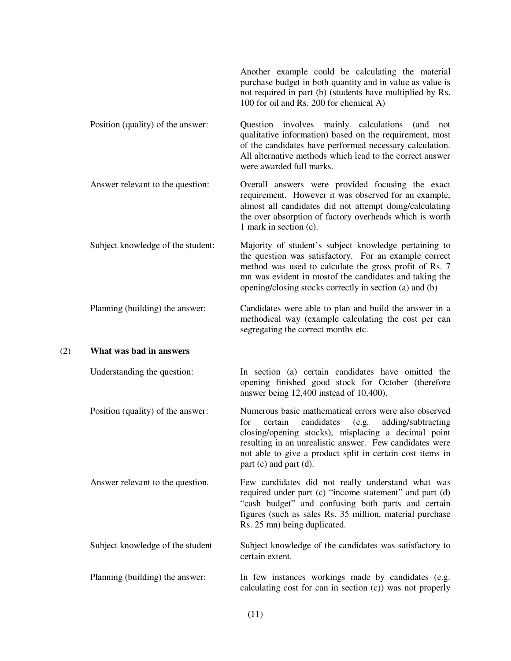|     |                                   | Another example could be calculating the material<br>purchase budget in both quantity and in value as value is<br>not required in part (b) (students have multiplied by Rs.<br>100 for oil and Rs. 200 for chemical A)                                                                                                        |
|-----|-----------------------------------|-------------------------------------------------------------------------------------------------------------------------------------------------------------------------------------------------------------------------------------------------------------------------------------------------------------------------------|
|     | Position (quality) of the answer: | Question involves mainly calculations<br>(and<br>not<br>qualitative information) based on the requirement, most<br>of the candidates have performed necessary calculation.<br>All alternative methods which lead to the correct answer<br>were awarded full marks.                                                            |
|     | Answer relevant to the question:  | Overall answers were provided focusing the exact<br>requirement. However it was observed for an example,<br>almost all candidates did not attempt doing/calculating<br>the over absorption of factory overheads which is worth<br>1 mark in section (c).                                                                      |
|     | Subject knowledge of the student: | Majority of student's subject knowledge pertaining to<br>the question was satisfactory. For an example correct<br>method was used to calculate the gross profit of Rs. 7<br>mn was evident in mostof the candidates and taking the<br>opening/closing stocks correctly in section (a) and (b)                                 |
|     | Planning (building) the answer:   | Candidates were able to plan and build the answer in a<br>methodical way (example calculating the cost per can<br>segregating the correct months etc.                                                                                                                                                                         |
| (2) | What was bad in answers           |                                                                                                                                                                                                                                                                                                                               |
|     | Understanding the question:       | In section (a) certain candidates have omitted the<br>opening finished good stock for October (therefore<br>answer being 12,400 instead of 10,400).                                                                                                                                                                           |
|     | Position (quality) of the answer: | Numerous basic mathematical errors were also observed<br>for<br>candidates<br>certain<br>(e.g.<br>adding/subtracting<br>closing/opening stocks), misplacing a decimal point<br>resulting in an unrealistic answer. Few candidates were<br>not able to give a product split in certain cost items in<br>part (c) and part (d). |
|     | Answer relevant to the question.  | Few candidates did not really understand what was<br>required under part (c) "income statement" and part (d)<br>"cash budget" and confusing both parts and certain<br>figures (such as sales Rs. 35 million, material purchase<br>Rs. 25 mm) being duplicated.                                                                |
|     | Subject knowledge of the student  | Subject knowledge of the candidates was satisfactory to<br>certain extent.                                                                                                                                                                                                                                                    |
|     | Planning (building) the answer:   | In few instances workings made by candidates (e.g.<br>calculating cost for can in section (c)) was not properly                                                                                                                                                                                                               |
|     |                                   |                                                                                                                                                                                                                                                                                                                               |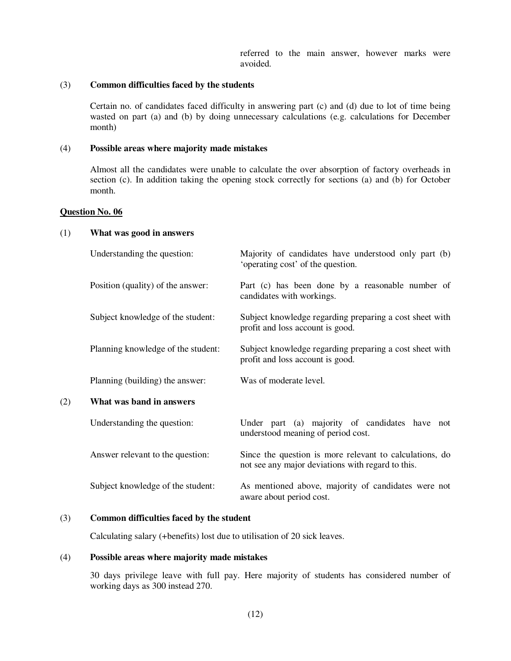referred to the main answer, however marks were avoided.

#### (3) **Common difficulties faced by the students**

Certain no. of candidates faced difficulty in answering part (c) and (d) due to lot of time being wasted on part (a) and (b) by doing unnecessary calculations (e.g. calculations for December month)

#### (4) **Possible areas where majority made mistakes**

Almost all the candidates were unable to calculate the over absorption of factory overheads in section (c). In addition taking the opening stock correctly for sections (a) and (b) for October month.

## **Question No. 06**

#### (1) **What was good in answers**

|     | Understanding the question:        | Majority of candidates have understood only part (b)<br>'operating cost' of the question.                    |
|-----|------------------------------------|--------------------------------------------------------------------------------------------------------------|
|     | Position (quality) of the answer:  | Part (c) has been done by a reasonable number of<br>candidates with workings.                                |
|     | Subject knowledge of the student:  | Subject knowledge regarding preparing a cost sheet with<br>profit and loss account is good.                  |
|     | Planning knowledge of the student: | Subject knowledge regarding preparing a cost sheet with<br>profit and loss account is good.                  |
|     | Planning (building) the answer:    | Was of moderate level.                                                                                       |
| (2) | What was band in answers           |                                                                                                              |
|     | Understanding the question:        | Under part (a) majority of candidates have not<br>understood meaning of period cost.                         |
|     | Answer relevant to the question:   | Since the question is more relevant to calculations, do<br>not see any major deviations with regard to this. |
|     | Subject knowledge of the student:  | As mentioned above, majority of candidates were not<br>aware about period cost.                              |

#### (3) **Common difficulties faced by the student**

Calculating salary (+benefits) lost due to utilisation of 20 sick leaves.

## (4) **Possible areas where majority made mistakes**

30 days privilege leave with full pay. Here majority of students has considered number of working days as 300 instead 270.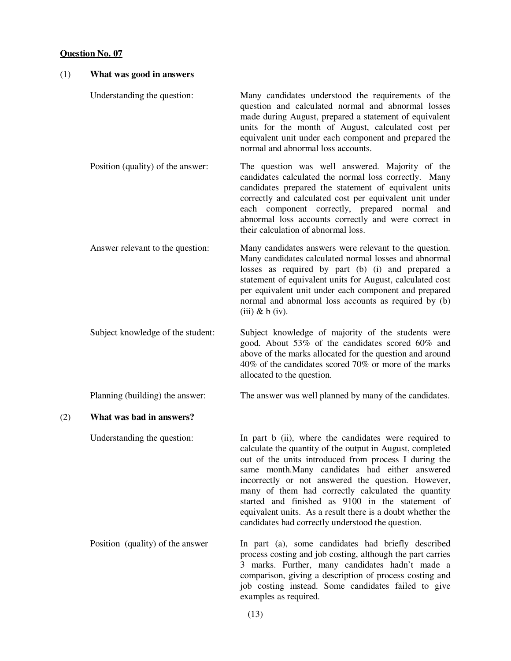| (1) | What was good in answers          |                                                                                                                                                                                                                                                                                                                                                                                                                                                                                                                   |
|-----|-----------------------------------|-------------------------------------------------------------------------------------------------------------------------------------------------------------------------------------------------------------------------------------------------------------------------------------------------------------------------------------------------------------------------------------------------------------------------------------------------------------------------------------------------------------------|
|     | Understanding the question:       | Many candidates understood the requirements of the<br>question and calculated normal and abnormal losses<br>made during August, prepared a statement of equivalent<br>units for the month of August, calculated cost per<br>equivalent unit under each component and prepared the<br>normal and abnormal loss accounts.                                                                                                                                                                                           |
|     | Position (quality) of the answer: | The question was well answered. Majority of the<br>candidates calculated the normal loss correctly. Many<br>candidates prepared the statement of equivalent units<br>correctly and calculated cost per equivalent unit under<br>each component correctly, prepared normal<br>and<br>abnormal loss accounts correctly and were correct in<br>their calculation of abnormal loss.                                                                                                                                   |
|     | Answer relevant to the question:  | Many candidates answers were relevant to the question.<br>Many candidates calculated normal losses and abnormal<br>losses as required by part (b) (i) and prepared a<br>statement of equivalent units for August, calculated cost<br>per equivalent unit under each component and prepared<br>normal and abnormal loss accounts as required by (b)<br>$(iii)$ & b $(iv)$ .                                                                                                                                        |
|     | Subject knowledge of the student: | Subject knowledge of majority of the students were<br>good. About 53% of the candidates scored 60% and<br>above of the marks allocated for the question and around<br>40% of the candidates scored 70% or more of the marks<br>allocated to the question.                                                                                                                                                                                                                                                         |
|     | Planning (building) the answer:   | The answer was well planned by many of the candidates.                                                                                                                                                                                                                                                                                                                                                                                                                                                            |
| (2) | What was bad in answers?          |                                                                                                                                                                                                                                                                                                                                                                                                                                                                                                                   |
|     | Understanding the question:       | In part b (ii), where the candidates were required to<br>calculate the quantity of the output in August, completed<br>out of the units introduced from process I during the<br>same month. Many candidates had either answered<br>incorrectly or not answered the question. However,<br>many of them had correctly calculated the quantity<br>started and finished as 9100 in the statement of<br>equivalent units. As a result there is a doubt whether the<br>candidates had correctly understood the question. |
|     | Position (quality) of the answer  | In part (a), some candidates had briefly described<br>process costing and job costing, although the part carries<br>3 marks. Further, many candidates hadn't made a<br>comparison, giving a description of process costing and<br>job costing instead. Some candidates failed to give<br>examples as required.                                                                                                                                                                                                    |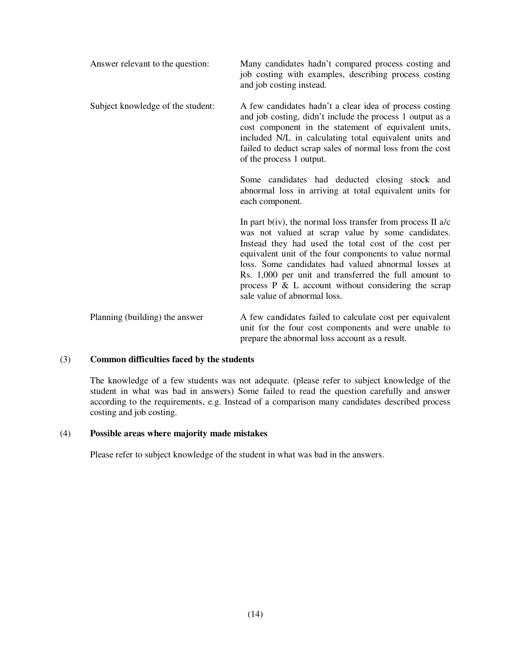| Answer relevant to the question:  | Many candidates hadn't compared process costing and<br>job costing with examples, describing process costing<br>and job costing instead.                                                                                                                                                                                                                                                                                                        |
|-----------------------------------|-------------------------------------------------------------------------------------------------------------------------------------------------------------------------------------------------------------------------------------------------------------------------------------------------------------------------------------------------------------------------------------------------------------------------------------------------|
| Subject knowledge of the student: | A few candidates hadn't a clear idea of process costing<br>and job costing, didn't include the process 1 output as a<br>cost component in the statement of equivalent units,<br>included N/L in calculating total equivalent units and<br>failed to deduct scrap sales of normal loss from the cost<br>of the process 1 output.                                                                                                                 |
|                                   | Some candidates had deducted closing stock and<br>abnormal loss in arriving at total equivalent units for<br>each component.                                                                                                                                                                                                                                                                                                                    |
|                                   | In part $b(iv)$ , the normal loss transfer from process II a/c<br>was not valued at scrap value by some candidates.<br>Instead they had used the total cost of the cost per<br>equivalent unit of the four components to value normal<br>loss. Some candidates had valued abnormal losses at<br>Rs. 1,000 per unit and transferred the full amount to<br>process $P \& L$ account without considering the scrap<br>sale value of abnormal loss. |
| Planning (building) the answer    | A few candidates failed to calculate cost per equivalent<br>unit for the four cost components and were unable to<br>prepare the abnormal loss account as a result.                                                                                                                                                                                                                                                                              |

## (3) **Common difficulties faced by the students**

The knowledge of a few students was not adequate. (please refer to subject knowledge of the student in what was bad in answers) Some failed to read the question carefully and answer according to the requirements, e.g. Instead of a comparison many candidates described process costing and job costing.

# (4) **Possible areas where majority made mistakes**

Please refer to subject knowledge of the student in what was bad in the answers.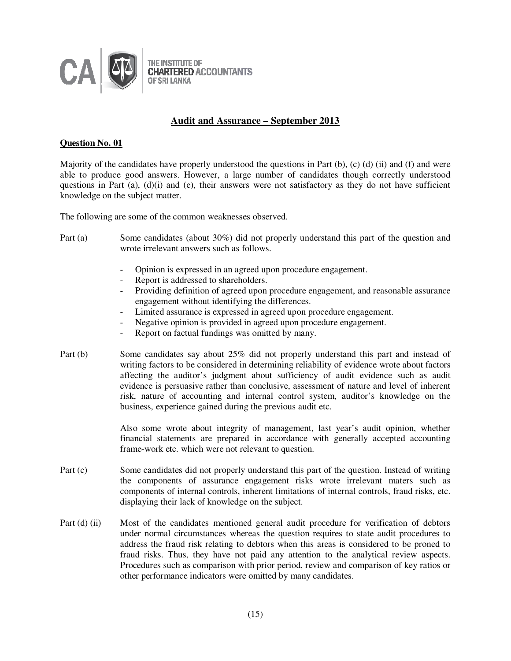

# **Audit and Assurance – September 2013**

#### **Question No. 01**

Majority of the candidates have properly understood the questions in Part (b), (c) (d) (ii) and (f) and were able to produce good answers. However, a large number of candidates though correctly understood questions in Part (a),  $(d)(i)$  and (e), their answers were not satisfactory as they do not have sufficient knowledge on the subject matter.

The following are some of the common weaknesses observed.

- Part (a) Some candidates (about 30%) did not properly understand this part of the question and wrote irrelevant answers such as follows.
	- Opinion is expressed in an agreed upon procedure engagement.
	- Report is addressed to shareholders.
	- Providing definition of agreed upon procedure engagement, and reasonable assurance engagement without identifying the differences.
	- Limited assurance is expressed in agreed upon procedure engagement.
	- Negative opinion is provided in agreed upon procedure engagement.
	- Report on factual fundings was omitted by many.
- Part (b) Some candidates say about 25% did not properly understand this part and instead of writing factors to be considered in determining reliability of evidence wrote about factors affecting the auditor's judgment about sufficiency of audit evidence such as audit evidence is persuasive rather than conclusive, assessment of nature and level of inherent risk, nature of accounting and internal control system, auditor's knowledge on the business, experience gained during the previous audit etc.

 Also some wrote about integrity of management, last year's audit opinion, whether financial statements are prepared in accordance with generally accepted accounting frame-work etc. which were not relevant to question.

- Part (c) Some candidates did not properly understand this part of the question. Instead of writing the components of assurance engagement risks wrote irrelevant maters such as components of internal controls, inherent limitations of internal controls, fraud risks, etc. displaying their lack of knowledge on the subject.
- Part (d) (ii) Most of the candidates mentioned general audit procedure for verification of debtors under normal circumstances whereas the question requires to state audit procedures to address the fraud risk relating to debtors when this areas is considered to be proned to fraud risks. Thus, they have not paid any attention to the analytical review aspects. Procedures such as comparison with prior period, review and comparison of key ratios or other performance indicators were omitted by many candidates.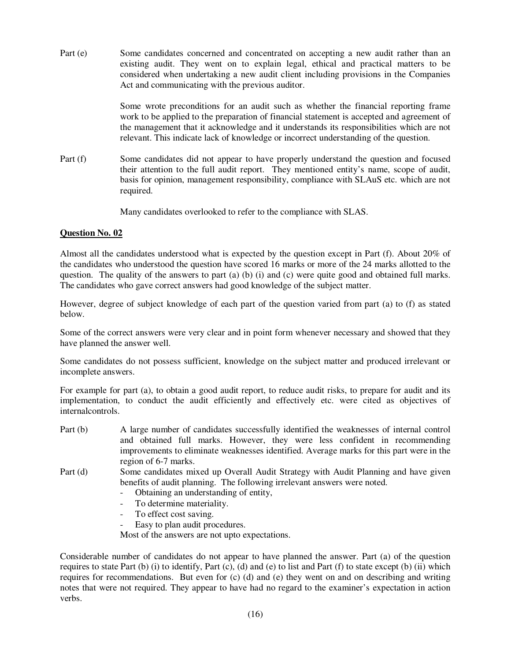Part (e) Some candidates concerned and concentrated on accepting a new audit rather than an existing audit. They went on to explain legal, ethical and practical matters to be considered when undertaking a new audit client including provisions in the Companies Act and communicating with the previous auditor.

> Some wrote preconditions for an audit such as whether the financial reporting frame work to be applied to the preparation of financial statement is accepted and agreement of the management that it acknowledge and it understands its responsibilities which are not relevant. This indicate lack of knowledge or incorrect understanding of the question.

Part (f) Some candidates did not appear to have properly understand the question and focused their attention to the full audit report. They mentioned entity's name, scope of audit, basis for opinion, management responsibility, compliance with SLAuS etc. which are not required.

Many candidates overlooked to refer to the compliance with SLAS.

# **Question No. 02**

Almost all the candidates understood what is expected by the question except in Part (f). About 20% of the candidates who understood the question have scored 16 marks or more of the 24 marks allotted to the question. The quality of the answers to part (a) (b) (i) and (c) were quite good and obtained full marks. The candidates who gave correct answers had good knowledge of the subject matter.

However, degree of subject knowledge of each part of the question varied from part (a) to (f) as stated below.

Some of the correct answers were very clear and in point form whenever necessary and showed that they have planned the answer well.

Some candidates do not possess sufficient, knowledge on the subject matter and produced irrelevant or incomplete answers.

For example for part (a), to obtain a good audit report, to reduce audit risks, to prepare for audit and its implementation, to conduct the audit efficiently and effectively etc. were cited as objectives of internalcontrols.

- Part (b) A large number of candidates successfully identified the weaknesses of internal control and obtained full marks. However, they were less confident in recommending improvements to eliminate weaknesses identified. Average marks for this part were in the region of 6-7 marks.
- Part (d) Some candidates mixed up Overall Audit Strategy with Audit Planning and have given benefits of audit planning. The following irrelevant answers were noted.
	- Obtaining an understanding of entity,
	- To determine materiality.
	- To effect cost saving.
	- Easy to plan audit procedures.

Most of the answers are not upto expectations.

Considerable number of candidates do not appear to have planned the answer. Part (a) of the question requires to state Part  $(b)$  (i) to identify, Part  $(c)$ ,  $(d)$  and  $(e)$  to list and Part  $(f)$  to state except  $(b)$  (ii) which requires for recommendations. But even for (c) (d) and (e) they went on and on describing and writing notes that were not required. They appear to have had no regard to the examiner's expectation in action verbs.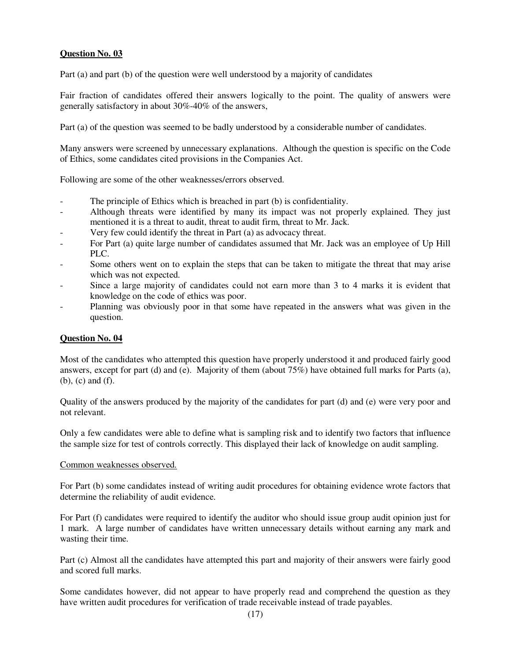Part (a) and part (b) of the question were well understood by a majority of candidates

Fair fraction of candidates offered their answers logically to the point. The quality of answers were generally satisfactory in about 30%-40% of the answers,

Part (a) of the question was seemed to be badly understood by a considerable number of candidates.

Many answers were screened by unnecessary explanations. Although the question is specific on the Code of Ethics, some candidates cited provisions in the Companies Act.

Following are some of the other weaknesses/errors observed.

- The principle of Ethics which is breached in part (b) is confidentiality.
- Although threats were identified by many its impact was not properly explained. They just mentioned it is a threat to audit, threat to audit firm, threat to Mr. Jack.
- Very few could identify the threat in Part (a) as advocacy threat.
- For Part (a) quite large number of candidates assumed that Mr. Jack was an employee of Up Hill PLC.
- Some others went on to explain the steps that can be taken to mitigate the threat that may arise which was not expected.
- Since a large majority of candidates could not earn more than 3 to 4 marks it is evident that knowledge on the code of ethics was poor.
- Planning was obviously poor in that some have repeated in the answers what was given in the question.

# **Question No. 04**

Most of the candidates who attempted this question have properly understood it and produced fairly good answers, except for part (d) and (e). Majority of them (about 75%) have obtained full marks for Parts (a), (b), (c) and (f).

Quality of the answers produced by the majority of the candidates for part (d) and (e) were very poor and not relevant.

Only a few candidates were able to define what is sampling risk and to identify two factors that influence the sample size for test of controls correctly. This displayed their lack of knowledge on audit sampling.

#### Common weaknesses observed.

For Part (b) some candidates instead of writing audit procedures for obtaining evidence wrote factors that determine the reliability of audit evidence.

For Part (f) candidates were required to identify the auditor who should issue group audit opinion just for 1 mark. A large number of candidates have written unnecessary details without earning any mark and wasting their time.

Part (c) Almost all the candidates have attempted this part and majority of their answers were fairly good and scored full marks.

Some candidates however, did not appear to have properly read and comprehend the question as they have written audit procedures for verification of trade receivable instead of trade payables.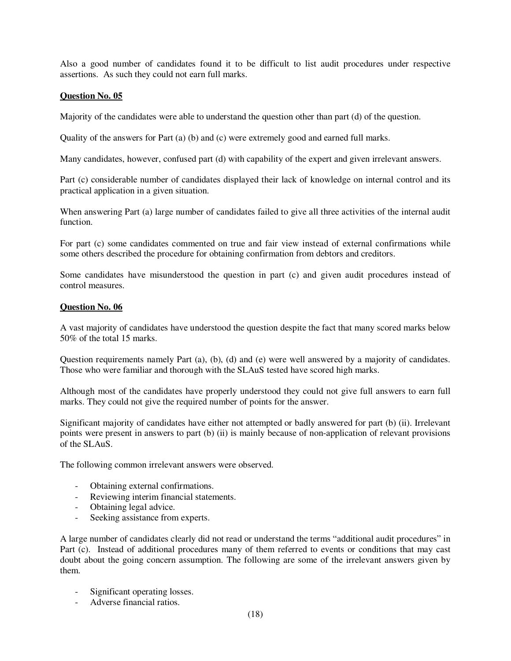Also a good number of candidates found it to be difficult to list audit procedures under respective assertions. As such they could not earn full marks.

# **Question No. 05**

Majority of the candidates were able to understand the question other than part (d) of the question.

Quality of the answers for Part (a) (b) and (c) were extremely good and earned full marks.

Many candidates, however, confused part (d) with capability of the expert and given irrelevant answers.

Part (c) considerable number of candidates displayed their lack of knowledge on internal control and its practical application in a given situation.

When answering Part (a) large number of candidates failed to give all three activities of the internal audit function.

For part (c) some candidates commented on true and fair view instead of external confirmations while some others described the procedure for obtaining confirmation from debtors and creditors.

Some candidates have misunderstood the question in part (c) and given audit procedures instead of control measures.

# **Question No. 06**

A vast majority of candidates have understood the question despite the fact that many scored marks below 50% of the total 15 marks.

Question requirements namely Part (a), (b), (d) and (e) were well answered by a majority of candidates. Those who were familiar and thorough with the SLAuS tested have scored high marks.

Although most of the candidates have properly understood they could not give full answers to earn full marks. They could not give the required number of points for the answer.

Significant majority of candidates have either not attempted or badly answered for part (b) (ii). Irrelevant points were present in answers to part (b) (ii) is mainly because of non-application of relevant provisions of the SLAuS.

The following common irrelevant answers were observed.

- Obtaining external confirmations.
- Reviewing interim financial statements.
- Obtaining legal advice.
- Seeking assistance from experts.

A large number of candidates clearly did not read or understand the terms "additional audit procedures" in Part (c). Instead of additional procedures many of them referred to events or conditions that may cast doubt about the going concern assumption. The following are some of the irrelevant answers given by them.

- Significant operating losses.
- Adverse financial ratios.